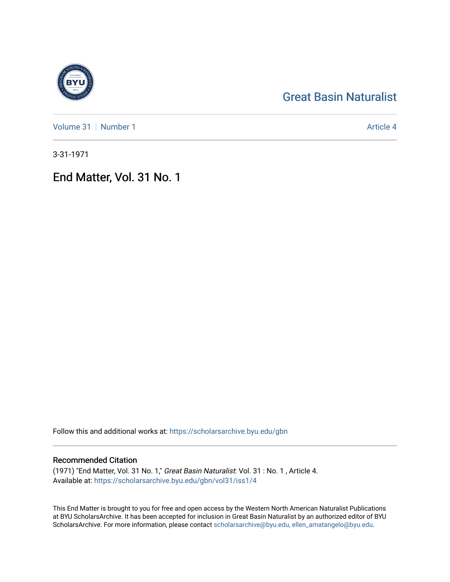# [Great Basin Naturalist](https://scholarsarchive.byu.edu/gbn)

[Volume 31](https://scholarsarchive.byu.edu/gbn/vol31) [Number 1](https://scholarsarchive.byu.edu/gbn/vol31/iss1) Article 4

3-31-1971

End Matter, Vol. 31 No. 1

Follow this and additional works at: [https://scholarsarchive.byu.edu/gbn](https://scholarsarchive.byu.edu/gbn?utm_source=scholarsarchive.byu.edu%2Fgbn%2Fvol31%2Fiss1%2F4&utm_medium=PDF&utm_campaign=PDFCoverPages) 

## Recommended Citation

(1971) "End Matter, Vol. 31 No. 1," Great Basin Naturalist: Vol. 31 : No. 1 , Article 4. Available at: [https://scholarsarchive.byu.edu/gbn/vol31/iss1/4](https://scholarsarchive.byu.edu/gbn/vol31/iss1/4?utm_source=scholarsarchive.byu.edu%2Fgbn%2Fvol31%2Fiss1%2F4&utm_medium=PDF&utm_campaign=PDFCoverPages)

This End Matter is brought to you for free and open access by the Western North American Naturalist Publications at BYU ScholarsArchive. It has been accepted for inclusion in Great Basin Naturalist by an authorized editor of BYU ScholarsArchive. For more information, please contact [scholarsarchive@byu.edu, ellen\\_amatangelo@byu.edu.](mailto:scholarsarchive@byu.edu,%20ellen_amatangelo@byu.edu)

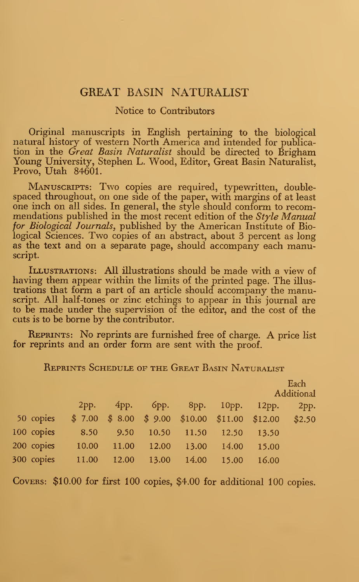### GREAT BASIN NATURALIST

#### Notice to Contributors

Original manuscripts in English pertaining to the biological natural history of western North America and intended for publication in the Great Basin Naturalist should be directed to Brigham Young University, Stephen L. Wood, Editor, Great Basin Naturalist, Provo, Utah 84601.

MANUSCRIPTS: Two copies are required, typewritten, doublespaced throughout, on one side of the paper, with margins of at least one inch on all sides. In general, the style should conform to recom mendations published in the most recent edition of the  $Style$  Manual for Biological Journals, published by the American Institute of Biological Sciences. Two copies of an abstract, about <sup>3</sup> percent as long as the text and on a separate page, should accompany each manuscript.

ILLUSTRATIONS: All illustrations should be made with a view of having them appear within the limits of the printed page. The illus trations that form a part of an article should accompany the manuscript. All half-tones or zinc etchings to appear in this journal are to be made under the supervision of the editor, and the cost of the cuts is to be borne by the contributor.

Reprints: No reprints are furnished free of charge. A price list for reprints and an order form are sent with the proof.

Reprints Schedule of the Great Basin Naturalist

|            |        |         |         |                  |          |         | Each       |
|------------|--------|---------|---------|------------------|----------|---------|------------|
|            |        |         |         |                  |          |         | Additional |
|            | 2pp.   | $4$ pp. | $6$ pp. | $8$ pp.          | $10pp$ . | 12pp.   | 2pp.       |
| 50 copies  | \$7.00 | \$8.00  | \$9.00  | $$10.00$ \$11.00 |          | \$12.00 | \$2.50     |
| 100 copies | 8.50   | 9.50    | 10.50   | 11.50            | 12.50    | 13.50   |            |
| 200 copies | 10.00  | 11.00   | 12.00   | 13.00            | 14.00    | 15.00   |            |
| 300 copies | 11.00  | 12.00   | 13.00   | 14.00            | 15.00    | 16.00   |            |

COVERS:  $$10.00$  for first 100 copies, \$4.00 for additional 100 copies.